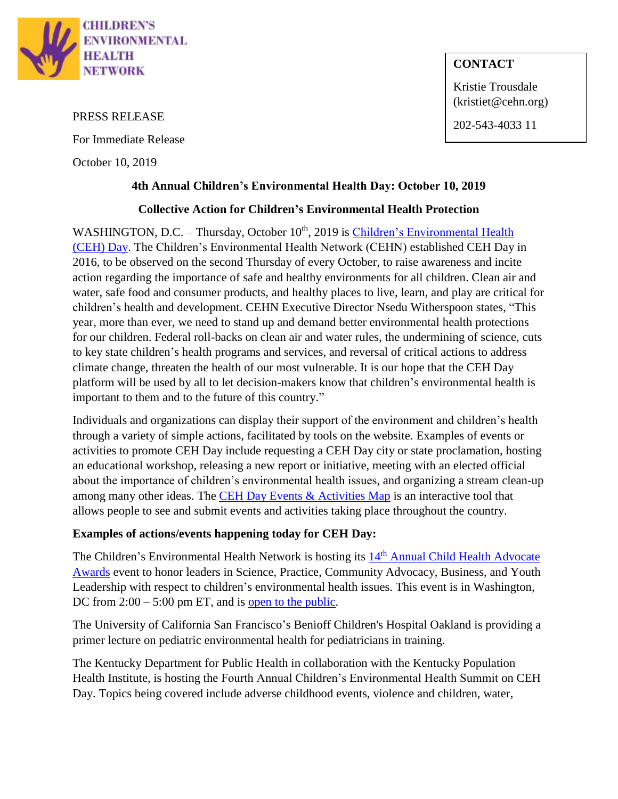

#### PRESS RELEASE

For Immediate Release

October 10, 2019

## **CONTACT**

Kristie Trousdale (kristiet@cehn.org)

202-543-4033 11

### **4th Annual Children's Environmental Health Day: October 10, 2019**

#### **Collective Action for Children's Environmental Health Protection**

WASHINGTON, D.C. - Thursday, October 10<sup>th</sup>, 2019 is *Children's Environmental Health* [\(CEH\) Day.](http://www.cehn.org/cehday) The Children's Environmental Health Network (CEHN) established CEH Day in 2016, to be observed on the second Thursday of every October, to raise awareness and incite action regarding the importance of safe and healthy environments for all children. Clean air and water, safe food and consumer products, and healthy places to live, learn, and play are critical for children's health and development. CEHN Executive Director Nsedu Witherspoon states, "This year, more than ever, we need to stand up and demand better environmental health protections for our children. Federal roll-backs on clean air and water rules, the undermining of science, cuts to key state children's health programs and services, and reversal of critical actions to address climate change, threaten the health of our most vulnerable. It is our hope that the CEH Day platform will be used by all to let decision-makers know that children's environmental health is important to them and to the future of this country."

Individuals and organizations can display their support of the environment and children's health through a variety of simple actions, facilitated by tools on the website. Examples of events or activities to promote CEH Day include requesting a CEH Day city or state proclamation, hosting an educational workshop, releasing a new report or initiative, meeting with an elected official about the importance of children's environmental health issues, and organizing a stream clean-up among many other ideas. The [CEH Day Events & Activities Map](https://cehn.org/ceh-movement/cehday/ceh-day-events-activities-map/) is an interactive tool that allows people to see and submit events and activities taking place throughout the country.

#### **Examples of actions/events happening today for CEH Day:**

The Children's Environmental Health Network is hosting its 14<sup>th</sup> Annual Child Health Advocate [Awards](https://www.eventbrite.com/e/childrens-environmental-health-day-child-health-advocate-awards-tickets-62936257039) event to honor leaders in Science, Practice, Community Advocacy, Business, and Youth Leadership with respect to children's environmental health issues. This event is in Washington, DC from  $2:00 - 5:00$  pm ET, and is [open to the public.](https://www.eventbrite.com/e/childrens-environmental-health-day-child-health-advocate-awards-tickets-62936257039)

The University of California San Francisco's Benioff Children's Hospital Oakland is providing a primer lecture on pediatric environmental health for pediatricians in training.

The Kentucky Department for Public Health in collaboration with the Kentucky Population Health Institute, is hosting the Fourth Annual Children's Environmental Health Summit on CEH Day. Topics being covered include adverse childhood events, violence and children, water,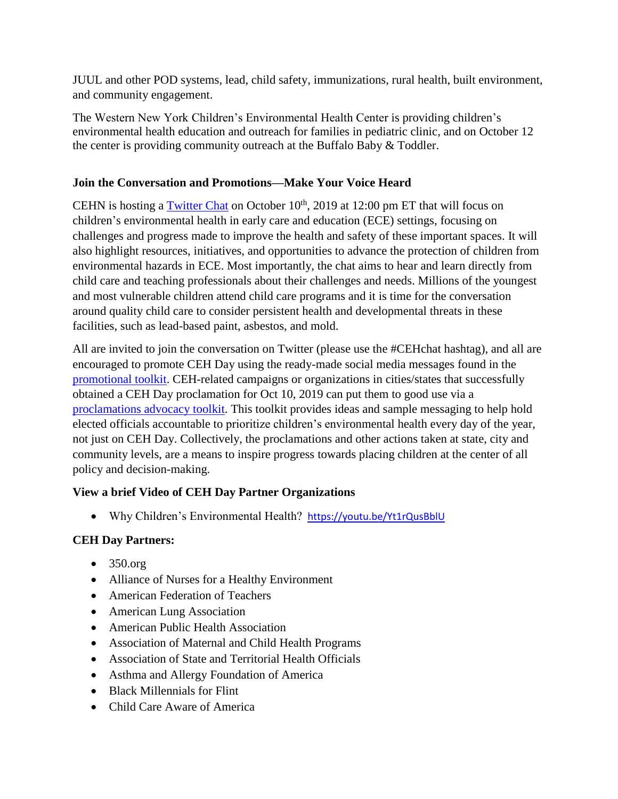JUUL and other POD systems, lead, child safety, immunizations, rural health, built environment, and community engagement.

The Western New York Children's Environmental Health Center is providing children's environmental health education and outreach for families in pediatric clinic, and on October 12 the center is providing community outreach at the Buffalo Baby & Toddler.

## **Join the Conversation and Promotions—Make Your Voice Heard**

CEHN is hosting a **Twitter Chat** on October  $10<sup>th</sup>$ , 2019 at 12:00 pm ET that will focus on children's environmental health in early care and education (ECE) settings, focusing on challenges and progress made to improve the health and safety of these important spaces. It will also highlight resources, initiatives, and opportunities to advance the protection of children from environmental hazards in ECE. Most importantly, the chat aims to hear and learn directly from child care and teaching professionals about their challenges and needs. Millions of the youngest and most vulnerable children attend child care programs and it is time for the conversation around quality child care to consider persistent health and developmental threats in these facilities, such as lead-based paint, asbestos, and mold.

All are invited to join the conversation on Twitter (please use the #CEHchat hashtag), and all are encouraged to promote CEH Day using the ready-made social media messages found in the [promotional toolkit.](https://cehn.org/wp-content/uploads/2016/07/2018-CEH-Toolkit_FINAL.pdf) CEH-related campaigns or organizations in cities/states that successfully obtained a CEH Day proclamation for Oct 10, 2019 can put them to good use via a [proclamations advocacy toolkit.](https://cehn.org/wp-content/uploads/2019/10/2019-CEH-Proclamation-Advocacy-Toolkit_FINAL.pdf) This toolkit provides ideas and sample messaging to help hold elected officials accountable to prioritize children's environmental health every day of the year, not just on CEH Day. Collectively, the proclamations and other actions taken at state, city and community levels, are a means to inspire progress towards placing children at the center of all policy and decision-making.

## **View a brief Video of CEH Day Partner Organizations**

Why Children's Environmental Health?<https://youtu.be/Yt1rQusBblU>

# **CEH Day Partners:**

- $\bullet$  350.org
- Alliance of Nurses for a Healthy Environment
- American Federation of Teachers
- American Lung Association
- American Public Health Association
- Association of Maternal and Child Health Programs
- Association of State and Territorial Health Officials
- Asthma and Allergy Foundation of America
- Black Millennials for Flint
- Child Care Aware of America